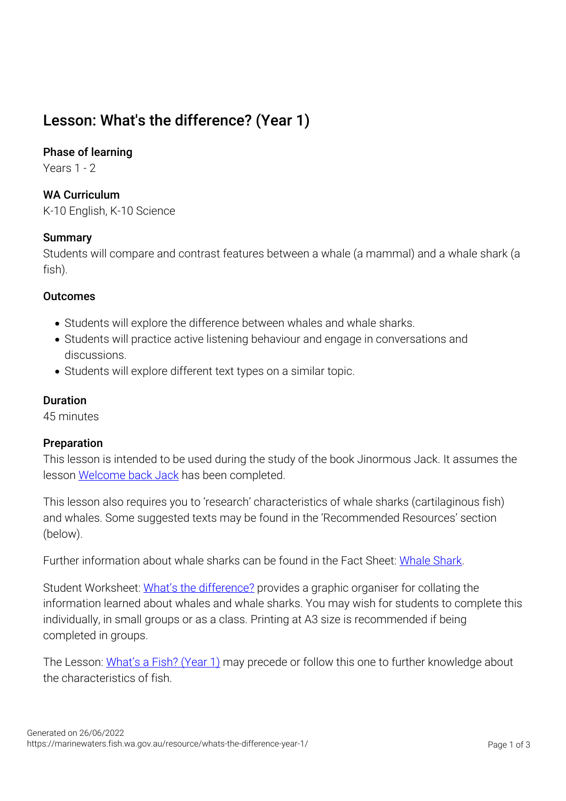# Lesson: What's the difference? (Year 1)

## Phase of learning

Years 1 - 2

# WA Curriculum

K-10 English, K-10 Science

## **Summary**

Students will compare and contrast features between a whale (a mammal) and a whale shark (a fish).

## **Outcomes**

- Students will explore the difference between whales and whale sharks.
- Students will practice active listening behaviour and engage in conversations and discussions.
- Students will explore different text types on a similar topic.

## Duration

45 minutes

## Preparation

This lesson is intended to be used during the study of the book Jinormous Jack. It assumes the lesson [Welcome back Jack](https://marinewaters.fish.wa.gov.au/mwwp/wp-admin/post.php?post=1712&action=edit) has been completed.

This lesson also requires you to 'research' characteristics of whale sharks (cartilaginous fish) and whales. Some suggested texts may be found in the 'Recommended Resources' section (below).

Further information about whale sharks can be found in the Fact Sheet: [Whale Shark.](https://marinewaters.fish.wa.gov.au/?post_type=resource&p=531&preview=true)

Student Worksheet: [What's the difference?](https://marinewaters.fish.wa.gov.au/?post_type=resource&p=1720&preview=true) provides a graphic organiser for collating the information learned about whales and whale sharks. You may wish for students to complete this individually, in small groups or as a class. Printing at A3 size is recommended if being completed in groups.

The Lesson: [What's a Fish? \(Year 1\)](https://marinewaters.fish.wa.gov.au/resource/whats-a-fish-year-1/) may precede or follow this one to further knowledge about the characteristics of fish.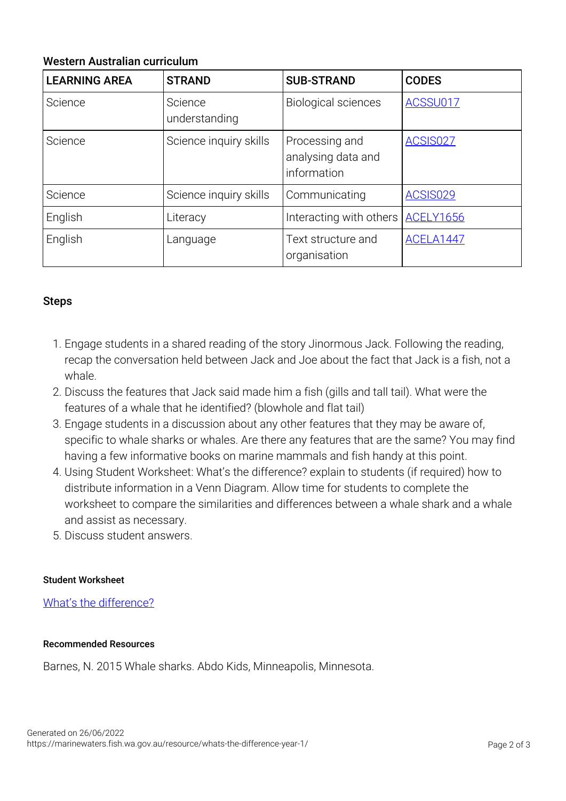## Western Australian curriculum

| <b>LEARNING AREA</b> | <b>STRAND</b>            | <b>SUB-STRAND</b>                                   | <b>CODES</b>     |
|----------------------|--------------------------|-----------------------------------------------------|------------------|
| Science              | Science<br>understanding | <b>Biological sciences</b>                          | ACSSU017         |
| Science              | Science inquiry skills   | Processing and<br>analysing data and<br>information | <b>ACSIS027</b>  |
| Science              | Science inquiry skills   | Communicating                                       | <b>ACSIS029</b>  |
| English              | Literacy                 | Interacting with others                             | <b>ACELY1656</b> |
| English              | Language                 | Text structure and<br>organisation                  | ACELA1447        |

## Steps

- 1. Engage students in a shared reading of the story Jinormous Jack. Following the reading, recap the conversation held between Jack and Joe about the fact that Jack is a fish, not a whale.
- 2. Discuss the features that Jack said made him a fish (gills and tall tail). What were the features of a whale that he identified? (blowhole and flat tail)
- 3. Engage students in a discussion about any other features that they may be aware of, specific to whale sharks or whales. Are there any features that are the same? You may find having a few informative books on marine mammals and fish handy at this point.
- 4. Using Student Worksheet: What's the difference? explain to students (if required) how to distribute information in a Venn Diagram. Allow time for students to complete the worksheet to compare the similarities and differences between a whale shark and a whale and assist as necessary.
- 5. Discuss student answers.

#### Student Worksheet

[What's the difference?](https://marinewaters.fish.wa.gov.au/?post_type=resource&p=1720&preview=true)

#### Recommended Resources

Barnes, N. 2015 Whale sharks. Abdo Kids, Minneapolis, Minnesota.